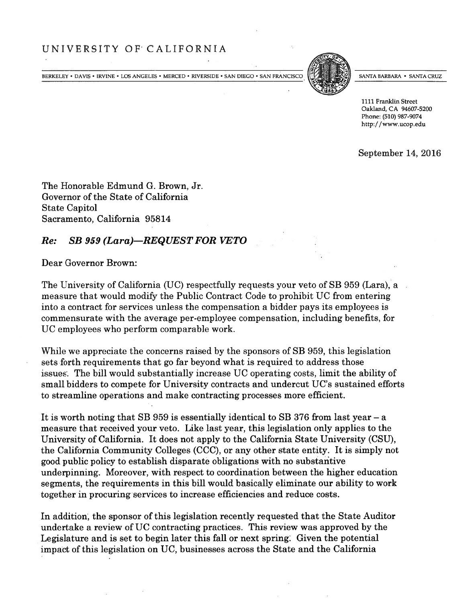## UNIVERSITY OF' CALIFORNIA

BERKELEY • DAVIS • IRVINE • LOS ANGELES • MERCED • RIVERSIDE • SAN DIEGO • SAN FRANCISCO



SANTA BARBARA • SANTA CRUZ

1111 Franklin Street Oakland, CA 94607-5200 Phone: (510) 987-9074 http://wwwucop.edu

September 14, 2016

The Honorable Edmund G. Brown, Jr. Governor of the State of California State Capitol Sacramento, California 95814

## Re: SB 959 (Lara)—REQUEST FOR VETO

Dear Governor Brown:

The University of California (UC) respectfully requests your veto of SB 959 (Lara), a measure that would modify the Public Contract Code to prohibit UC from entering into <sup>a</sup> contract for services unless the compensation <sup>a</sup> bidder pays its employees is commensurate with the average per-employee compensation, including benefits, for UC employees who perform comparable work.

While we appreciate the concerns raised by the sponsors of SB 959, this legislation sets forth requirements that go far beyond what is required to address those issues'. The bill would substantially increase UC operating costs, limit the ability of small bidders to compete for University contracts and undercut UC's sustained efforts to streamline operations and make contracting processes more efficient.

It is worth noting that SB 959 is essentially identical to SB 376 from last year — <sup>a</sup> measure that received your veto. Like last year, this legislation only applies to the University of California. It does not apply to the California State University (CSU), the California Community Colleges (CCC), or any other state entity. It is simply not good public policy to establish disparate obligations with no substantive underpinning. Moreover, with respec<sup>t</sup> to coordination between the higher education segments, the requirements in this bill would basically eliminate our ability to work together in procuring services to increase efficiencies and reduce costs.

In addition, the sponsor of this legislation recently requested that the State Auditor undertake <sup>a</sup> review of UC contracting practices. This review was approved by the Legislature and is set to begin later this fall or next spring: Given the potential impact of this legislation on UC, businesses across the State and the California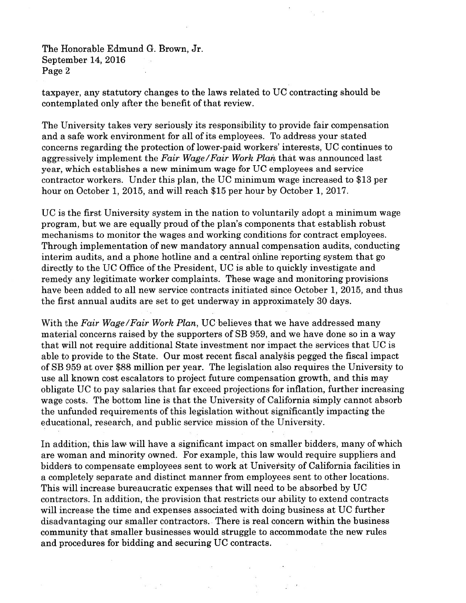The Honorable Edmund G. Brown, Jr. September 14, 2016 Page 2

taxpayer, any statutory changes to the laws related to UC contracting should be contemplated only after the benefit of that review.

The University takes very seriously its responsibility to provide fair compensation and <sup>a</sup> safe work environment for all of its employees. To address your stated concerns regarding the protection of lower-paid workers' interests, UC continues to aggressively implement the Fair Wage/Fair Work Plan that was announced last year, which establishes <sup>a</sup> new minimum wage for UC employees and service contractor workers. Under this <sup>p</sup>lan, the UC minimum wage increased to \$13 per hour on October 1, 2015, and will reach \$15 per hour by October 1, 2017.

UC is the first University system in the nation to voluntarily adopt <sup>a</sup> minimum wage program, but we are equally proud of the <sup>p</sup>lan's components that establish robust mechanisms to monitor the wages and working conditions for contract employees. Through implementation of new mandatory annual compensation audits, conducting interim audits, and <sup>a</sup> phone hotline and <sup>a</sup> central online reporting system that go directly to the UC Office of the President, UC is able to quickly investigate and remedy any legitimate worker complaints. These wage and monitoring provisions have been added to all new service contracts initiated since October 1, 2015, and thus the first annual audits are set to ge<sup>t</sup> underway in approximately 30 days.

With the Fair Wage/Fair Work Plan, UC believes that we have addressed many material concerns raised by the supporters of SB 959, and we have done so in <sup>a</sup> way that will not require additional State investment nor impact the services that UC is able to provide to the State. Our most recent fiscal analysis pegged the fiscal impact of SB 959 at over \$88 million per year. The legislation also requires the University to use all known cost escalators to project future compensation growth, and this may obligate UC to pay salaries that far exceed projections for inflation, further increasing wage costs. The bottom line is that the University of California simply cannot absorb the unfunded requirements of this legislation without significantly impacting the educational, research, and public service mission of the University.

In addition, this law will have <sup>a</sup> significant impact on smaller bidders, many of which are woman and minority owned. For example, this law would require suppliers and bidders to compensate employees sent to work at University of California facilities in <sup>a</sup> completely separate and distinct manner from employees sent to other locations. This will increase bureaucratic expenses that will need to be absorbed by UC contractors. In addition, the provision that restricts our ability to extend contracts will increase the time and expenses associated with doing business at UC further disadvantaging our smaller contractors. There is real concern within the business community that smaller businesses would struggle to accommodate the new rules and procedures for bidding and securing UC contracts.

 $\frac{1}{2}$   $\frac{1}{2}$   $\frac{1}{2}$   $\frac{1}{2}$   $\frac{1}{2}$   $\frac{1}{2}$   $\frac{1}{2}$   $\frac{1}{2}$   $\frac{1}{2}$   $\frac{1}{2}$   $\frac{1}{2}$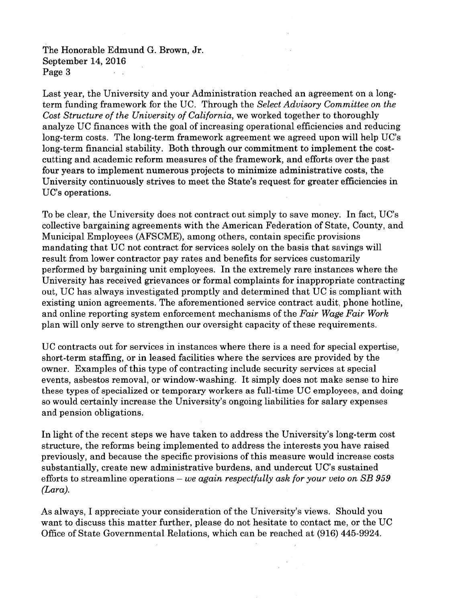The Honorable Edmund G. Brown, Jr. September 14, 2016 Page 3

Last year, the University and your Administration reached an agreemen<sup>t</sup> on <sup>a</sup> longterm funding framework for the UC. Through the Select Advisory Committee on the Cost Structure of the University of California, we worked together to thoroughly analyze UC finances with the goal of increasing operational efficiencies and reducing long-term costs. The long-term framework agreemen<sup>t</sup> we agreed upon will help UC's long-term financial stability. Both through our commitment to implement the costcutting and academic reform measures of the framework, and efforts over the pas<sup>t</sup> four years to implement numerous projects to minimize administrative costs, the University continuously strives to meet the State's reques<sup>t</sup> for greater efficiencies in UC's operations.

To be clear, the University does not contract out simply to save money. In fact, UC's collective bargaining agreements with the American Federation of State, County, and Municipal Employees (AFSCME), among others, contain specific provisions mandating that UC not contract for services solely on the basis that savings will result from lower contractor pay rates and benefits for services customarily performed by bargaining unit employees. In the extremely rare instances where the University has received grievances or formal complaints for inappropriate contracting out, UC has always investigated promptly and determined that UC is compliant with existing union agreements. The aforementioned service contract audit, phone hotline, and online reporting system enforcement mechanisms of the Fair Wage Fair Work plan will only serve to strengthen our oversight capacity of these requirements.

UC contracts out for services in instances where there is <sup>a</sup> need for special expertise, short-term staffing, or in leased facilities where the services are provided by the owner. Examples of this type of contracting include security services at special events, asbestos removal, or window-washing. It simply does not make sense to hire these types of specialized or temporary workers as full-time UC employees, and doing so would certainly increase the University's ongoing liabilities for salary expenses and pension obligations.

In light of the recent steps we have taken to address the University's long-term cost structure, the reforms being implemented to address the interests you have raised previously, and because the specific provisions of this measure would increase costs substantially, create new administrative burdens, and undercut UC's sustained efforts to streamline operations – we again respectfully ask for your veto on SB 959 (Lara).

As always, I appreciate your consideration of the University's views. Should you want to discuss this matter further, please do not hesitate to contact me, or the UC Office of State Governmental Relations, which can be reached at (916) 445-9924.